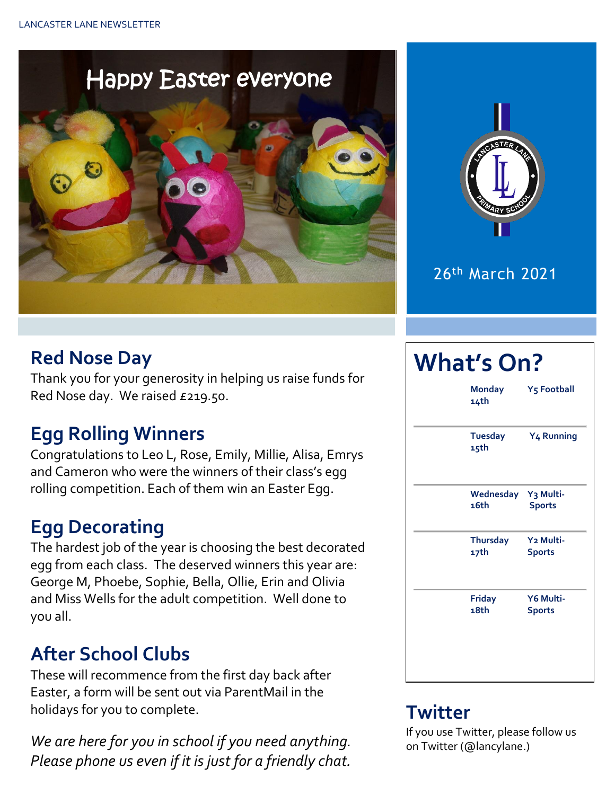



#### 26th March 2021

#### **Red Nose Day**

Thank you for your generosity in helping us raise funds for Red Nose day. We raised £219.50.

### **Egg Rolling Winners**

Congratulations to Leo L, Rose, Emily, Millie, Alisa, Emrys and Cameron who were the winners of their class's egg rolling competition. Each of them win an Easter Egg.

### **Egg Decorating**

The hardest job of the year is choosing the best decorated egg from each class. The deserved winners this year are: George M, Phoebe, Sophie, Bella, Ollie, Erin and Olivia and Miss Wells for the adult competition. Well done to you all.

### **After School Clubs**

These will recommence from the first day back after Easter, a form will be sent out via ParentMail in the holidays for you to complete.

*We are here for you in school if you need anything. Please phone us even if it is just for a friendly chat.* 

# **What's On? Monday Y5 Football 14th Tuesday Y4 Running 15th Wednesday Y3 Multi-16th Sports Thursday Y2 Multi-17th Sports Friday Y6 Multi-18th Sports**

#### **Twitter**

If you use Twitter, please follow us on Twitter (@lancylane.)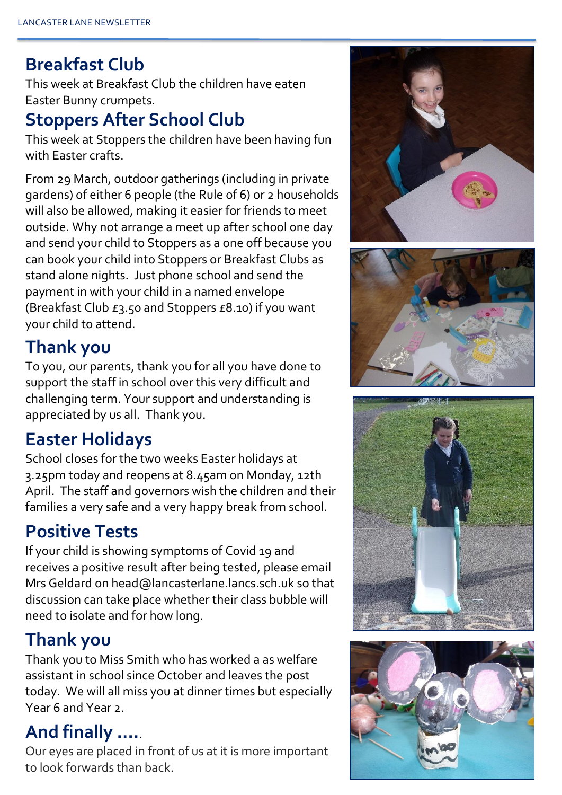#### **Breakfast Club**

This week at Breakfast Club the children have eaten Easter Bunny crumpets.

#### **Stoppers After School Club**

This week at Stoppers the children have been having fun with Easter crafts.

From 29 March, outdoor gatherings (including in private gardens) of either 6 people (the Rule of 6) or 2 households will also be allowed, making it easier for friends to meet outside. Why not arrange a meet up after school one day and send your child to Stoppers as a one off because you can book your child into Stoppers or Breakfast Clubs as stand alone nights. Just phone school and send the payment in with your child in a named envelope (Breakfast Club £3.50 and Stoppers £8.10) if you want your child to attend.

# **Thank you**

To you, our parents, thank you for all you have done to support the staff in school over this very difficult and challenging term. Your support and understanding is appreciated by us all. Thank you.

# **Easter Holidays**

School closes for the two weeks Easter holidays at 3.25pm today and reopens at 8.45am on Monday, 12th April. The staff and governors wish the children and their families a very safe and a very happy break from school.

# **Positive Tests**

If your child is showing symptoms of Covid 19 and receives a positive result after being tested, please email Mrs Geldard on head@lancasterlane.lancs.sch.uk so that discussion can take place whether their class bubble will need to isolate and for how long.

### **Thank you**

Thank you to Miss Smith who has worked a as welfare assistant in school since October and leaves the post today. We will all miss you at dinner times but especially Year 6 and Year 2.

### **And finally ….**.

Our eyes are placed in front of us at it is more important to look forwards than back.